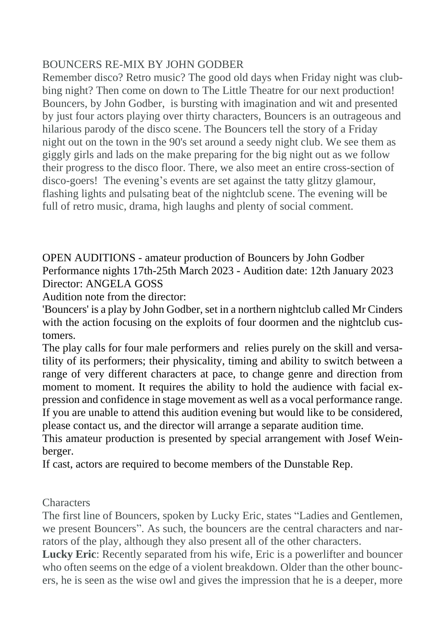## BOUNCERS RE-MIX BY JOHN GODBER

Remember disco? Retro music? The good old days when Friday night was clubbing night? Then come on down to The Little Theatre for our next production! Bouncers, by John Godber, is bursting with imagination and wit and presented by just four actors playing over thirty characters, Bouncers is an outrageous and hilarious parody of the disco scene. The Bouncers tell the story of a Friday night out on the town in the 90's set around a seedy night club. We see them as giggly girls and lads on the make preparing for the big night out as we follow their progress to the disco floor. There, we also meet an entire cross-section of disco-goers! The evening's events are set against the tatty glitzy glamour, flashing lights and pulsating beat of the nightclub scene. The evening will be full of retro music, drama, high laughs and plenty of social comment.

OPEN AUDITIONS - amateur production of Bouncers by John Godber Performance nights 17th-25th March 2023 - Audition date: 12th January 2023 Director: ANGELA GOSS

Audition note from the director:

'Bouncers' is a play by John Godber, set in a northern nightclub called Mr Cinders with the action focusing on the exploits of four doormen and the nightclub customers.

The play calls for four male performers and relies purely on the skill and versatility of its performers; their physicality, timing and ability to switch between a range of very different characters at pace, to change genre and direction from moment to moment. It requires the ability to hold the audience with facial expression and confidence in stage movement as well as a vocal performance range. If you are unable to attend this audition evening but would like to be considered, please contact us, and the director will arrange a separate audition time.

This amateur production is presented by special arrangement with Josef Weinberger.

If cast, actors are required to become members of the Dunstable Rep.

**Characters** 

The first line of Bouncers, spoken by Lucky Eric, states "Ladies and Gentlemen, we present Bouncers". As such, the bouncers are the central characters and narrators of the play, although they also present all of the other characters.

**Lucky Eric**: Recently separated from his wife, Eric is a powerlifter and bouncer who often seems on the edge of a violent breakdown. Older than the other bouncers, he is seen as the wise owl and gives the impression that he is a deeper, more